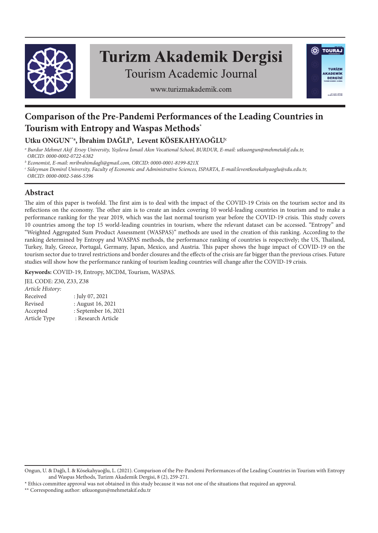

# **Turizm Akademik Dergisi**

**SO TOURAJ** 

TURÍZM

**AKADEMIK DERGISI** 

**Tourism Academic Journal** 

www.turizmakademik.com

# **Comparison of the Pre-Pandemi Performances of the Leading Countries in Tourism with Entropy and Waspas Methods\***

# **Utku ONGUN\*\*a, İbrahim DAĞLIb , Levent KÖSEKAHYAOĞLUc**

*a Burdur Mehmet Akif Ersoy University, Yeşilova İsmail Akın Vocational School, BURDUR, E-mail: utkuongun@mehmetakif.edu.tr, ORCID: 0000-0002-0722-6382*

*b Economist, E-mail: mribrahimdagli@gmail.com, ORCID: 0000-0001-8199-821X*

*c Süleyman Demirel University, Faculty of Economic and Administrative Sciences, ISPARTA, E-mail:leventkosekahyaoglu@sdu.edu.tr, ORCID: 0000-0002-5466-5396*

# **Abstract**

The aim of this paper is twofold. The first aim is to deal with the impact of the COVID-19 Crisis on the tourism sector and its reflections on the economy. The other aim is to create an index covering 10 world-leading countries in tourism and to make a performance ranking for the year 2019, which was the last normal tourism year before the COVID-19 crisis. This study covers 10 countries among the top 15 world-leading countries in tourism, where the relevant dataset can be accessed. "Entropy" and "Weighted Aggregated Sum Product Assessment (WASPAS)" methods are used in the creation of this ranking. According to the ranking determined by Entropy and WASPAS methods, the performance ranking of countries is respectively; the US, Thailand, Turkey, Italy, Greece, Portugal, Germany, Japan, Mexico, and Austria. This paper shows the huge impact of COVID-19 on the tourism sector due to travel restrictions and border closures and the effects of the crisis are far bigger than the previous crises. Future studies will show how the performance ranking of tourism leading countries will change after the COVID-19 crisis.

**Keywords:** COVID-19, Entropy, MCDM, Tourism, WASPAS.

| JEL CODE: Z30, Z33, Z38 |                      |
|-------------------------|----------------------|
| Article History:        |                      |
| Received                | : July 07, 2021      |
| Revised                 | : August 16, 2021    |
| Accepted                | : September 16, 2021 |
| Article Type            | : Research Article   |
|                         |                      |

Ongun, U. & Dağlı, İ. & Kösekahyaoğlu, L. (2021). Comparison of the Pre-Pandemi Performances of the Leading Countries in Tourism with Entropy and Waspas Methods, Turizm Akademik Dergisi, 8 (2), 259-271.

<sup>\*</sup> Ethics committee approval was not obtained in this study because it was not one of the situations that required an approval.

<sup>\*\*</sup> Corresponding author: utkuongun@mehmetakif.edu.tr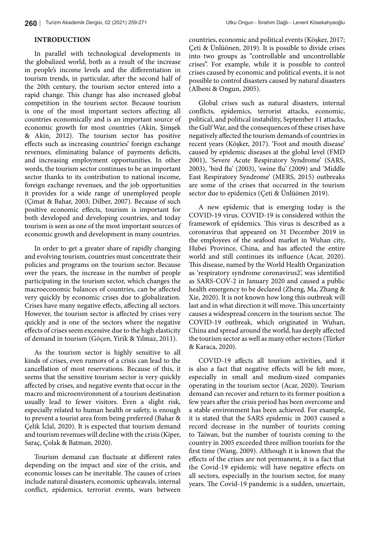# **INTRODUCTION**

In parallel with technological developments in the globalized world, both as a result of the increase in people's income levels and the differentiation in tourism trends, in particular, after the second half of the 20th century, the tourism sector entered into a rapid change. This change has also increased global competition in the tourism sector. Because tourism is one of the most important sectors affecting all countries economically and is an important source of economic growth for most countries (Akin, Şimşek & Akin, 2012). The tourism sector has positive effects such as increasing countries' foreign exchange revenues, eliminating balance of payments deficits, and increasing employment opportunities. In other words, the tourism sector continues to be an important sector thanks to its contribution to national income, foreign exchange revenues, and the job opportunities it provides for a wide range of unemployed people (Çimat & Bahar, 2003; Dilber, 2007). Because of such positive economic effects, tourism is important for both developed and developing countries, and today tourism is seen as one of the most important sources of economic growth and development in many countries.

In order to get a greater share of rapidly changing and evolving tourism, countries must concentrate their policies and programs on the tourism sector. Because over the years, the increase in the number of people participating in the tourism sector, which changes the macroeconomic balances of countries, can be affected very quickly by economic crises due to globalization. Crises have many negative effects, affecting all sectors. However, the tourism sector is affected by crises very quickly and is one of the sectors where the negative effects of crises seem excessive due to the high elasticity of demand in tourism (Göçen, Yirik & Yılmaz, 2011).

As the tourism sector is highly sensitive to all kinds of crises, even rumors of a crisis can lead to the cancellation of most reservations. Because of this, it seems that the sensitive tourism sector is very quickly affected by crises, and negative events that occur in the macro and microenvironment of a tourism destination usually lead to fewer visitors. Even a slight risk, especially related to human health or safety, is enough to prevent a tourist area from being preferred (Bahar & Çelik İclal, 2020). It is expected that tourism demand and tourism revenues will decline with the crisis (Kiper, Saraç, Çolak & Batman, 2020).

Tourism demand can fluctuate at different rates depending on the impact and size of the crisis, and economic losses can be inevitable. The causes of crises include natural disasters, economic upheavals, internal conflict, epidemics, terrorist events, wars between countries, economic and political events (Köşker, 2017; Çeti & Ünlüönen, 2019). It is possible to divide crises into two groups as "controllable and uncontrollable crises". For example, while it is possible to control crises caused by economic and political events, it is not possible to control disasters caused by natural disasters (Albeni & Ongun, 2005).

Global crises such as natural disasters, internal conflicts, epidemics, terrorist attacks, economic, political, and political instability, September 11 attacks, the Gulf War, and the consequences of these crises have negatively affected the tourism demands of countries in recent years (Köşker, 2017). 'Foot and mouth disease' caused by epidemic diseases at the global level (FMD 2001), 'Severe Acute Respiratory Syndrome' (SARS, 2003), 'bird flu' (2003), 'swine flu' (2009) and 'Middle East Respiratory Syndrome' (MERS, 2015) outbreaks are some of the crises that occurred in the tourism sector due to epidemics (Çeti & Ünlüönen 2019).

A new epidemic that is emerging today is the COVID-19 virus. COVID-19 is considered within the framework of epidemics. This virus is described as a coronavirus that appeared on 31 December 2019 in the employees of the seafood market in Wuhan city, Hubei Province, China, and has affected the entire world and still continues its influence (Acar, 2020). This disease, named by the World Health Organization as 'respiratory syndrome coronavirus2', was identified as SARS-COV-2 in January 2020 and caused a public health emergency to be declared (Zheng, Ma, Zhang & Xie, 2020). It is not known how long this outbreak will last and in what direction it will move. This uncertainty causes a widespread concern in the tourism sector. The COVID-19 outbreak, which originated in Wuhan, China and spread around the world, has deeply affected the tourism sector as well as many other sectors (Türker & Karaca, 2020).

COVID-19 affects all tourism activities, and it is also a fact that negative effects will be felt more, especially in small and medium-sized companies operating in the tourism sector (Acar, 2020). Tourism demand can recover and return to its former position a few years after the crisis period has been overcome and a stable environment has been achieved. For example, it is stated that the SARS epidemic in 2003 caused a record decrease in the number of tourists coming to Taiwan, but the number of tourists coming to the country in 2005 exceeded three million tourists for the first time (Wang, 2009). Although it is known that the effects of the crises are not permanent, it is a fact that the Covid-19 epidemic will have negative effects on all sectors, especially in the tourism sector, for many years. The Covid-19 pandemic is a sudden, uncertain,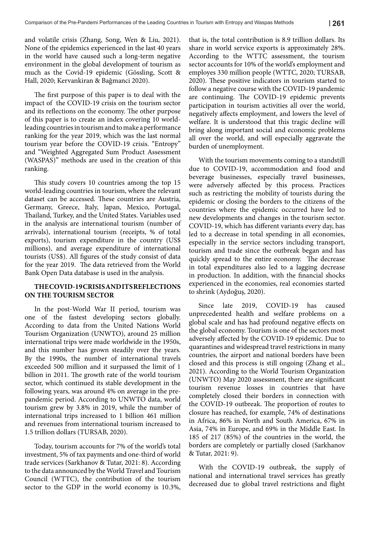and volatile crisis (Zhang, Song, Wen & Liu, 2021). None of the epidemics experienced in the last 40 years in the world have caused such a long-term negative environment in the global development of tourism as much as the Covid-19 epidemic (Gössling, Scott & Hall, 2020; Kervankiran & Bağmanci 2020).

The first purpose of this paper is to deal with the impact of the COVID-19 crisis on the tourism sector and its reflections on the economy. The other purpose of this paper is to create an index covering 10 worldleading countries in tourism and to make a performance ranking for the year 2019, which was the last normal tourism year before the COVID-19 crisis. "Entropy" and "Weighted Aggregated Sum Product Assessment (WASPAS)" methods are used in the creation of this ranking.

This study covers 10 countries among the top 15 world-leading countries in tourism, where the relevant dataset can be accessed. These countries are Austria, Germany, Greece, Italy, Japan, Mexico, Portugal, Thailand, Turkey, and the United States. Variables used in the analysis are international tourism (number of arrivals), international tourism (receipts, % of total exports), tourism expenditure in the country (US\$ millions), and average expenditure of international tourists (US\$). All figures of the study consist of data for the year 2019. The data retrieved from the World Bank Open Data database is used in the analysis.

#### **THE COVID-19 CRISIS AND ITS REFLECTIONS ON THE TOURISM SECTOR**

In the post-World War II period, tourism was one of the fastest developing sectors globally. According to data from the United Nations World Tourism Organization (UNWTO), around 25 million international trips were made worldwide in the 1950s, and this number has grown steadily over the years. By the 1990s, the number of international travels exceeded 500 million and it surpassed the limit of 1 billion in 2011. The growth rate of the world tourism sector, which continued its stable development in the following years, was around 4% on average in the prepandemic period. According to UNWTO data, world tourism grew by 3.8% in 2019, while the number of international trips increased to 1 billion 461 million and revenues from international tourism increased to 1.5 trillion dollars (TURSAB, 2020).

Today, tourism accounts for 7% of the world's total investment, 5% of tax payments and one-third of world trade services (Sarkhanov & Tutar, 2021: 8). According to the data announced by the World Travel and Tourism Council (WTTC), the contribution of the tourism sector to the GDP in the world economy is 10.3%,

that is, the total contribution is 8.9 trillion dollars. Its share in world service exports is approximately 28%. According to the WTTC assessment, the tourism sector accounts for 10% of the world's employment and employes 330 million people (WTTC, 2020; TURSAB, 2020). These positive indicators in tourism started to follow a negative course with the COVID-19 pandemic are continuing. The COVID-19 epidemic prevents participation in tourism activities all over the world, negatively affects employment, and lowers the level of welfare. It is understood that this tragic decline will bring along important social and economic problems all over the world, and will especially aggravate the burden of unemployment.

With the tourism movements coming to a standstill due to COVID-19, accommodation and food and beverage businesses, especially travel businesses, were adversely affected by this process. Practices such as restricting the mobility of tourists during the epidemic or closing the borders to the citizens of the countries where the epidemic occurred have led to new developments and changes in the tourism sector. COVID-19, which has different variants every day, has led to a decrease in total spending in all economies, especially in the service sectors including transport, tourism and trade since the outbreak began and has quickly spread to the entire economy. The decrease in total expenditures also led to a lagging decrease in production. In addition, with the financial shocks experienced in the economies, real economies started to shrink (Aydoğuş, 2020).

Since late 2019, COVID-19 has caused unprecedented health and welfare problems on a global scale and has had profound negative effects on the global economy. Tourism is one of the sectors most adversely affected by the COVID-19 epidemic. Due to quarantines and widespread travel restrictions in many countries, the airport and national borders have been closed and this process is still ongoing (Zhang et al., 2021). According to the World Tourism Organization (UNWTO) May 2020 assessment, there are significant tourism revenue losses in countries that have completely closed their borders in connection with the COVID-19 outbreak. The proportion of routes to closure has reached, for example, 74% of destinations in Africa, 86% in North and South America, 67% in Asia, 74% in Europe, and 69% in the Middle East. In 185 of 217 (85%) of the countries in the world, the borders are completely or partially closed (Sarkhanov & Tutar, 2021: 9).

With the COVID-19 outbreak, the supply of national and international travel services has greatly decreased due to global travel restrictions and flight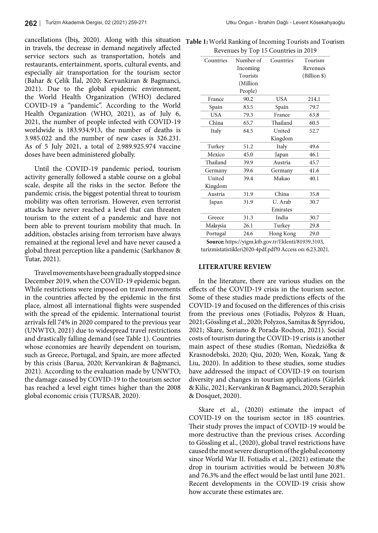cancellations (İbiş, 2020). Along with this situation in travels, the decrease in demand negatively affected service sectors such as transportation, hotels and restaurants, entertainment, sports, cultural events, and especially air transportation for the tourism sector (Bahar & Çelik İlal, 2020; Kervankiran & Bagmanci, 2021). Due to the global epidemic environment, the World Health Organization (WHO) declared COVID-19 a "pandemic". According to the World Health Organization (WHO, 2021), as of July 6, 2021, the number of people infected with COVID-19 worldwide is 183.934.913, the number of deaths is 3.985.022 and the number of new cases is 326.231. As of 5 July 2021, a total of 2.989.925.974 vaccine doses have been administered globally.

Until the COVID-19 pandemic period, tourism activity generally followed a stable course on a global scale, despite all the risks in the sector. Before the pandemic crisis, the biggest potential threat to tourism mobility was often terrorism. However, even terrorist attacks have never reached a level that can threaten tourism to the extent of a pandemic and have not been able to prevent tourism mobility that much. In addition, obstacles arising from terrorism have always remained at the regional level and have never caused a global threat perception like a pandemic (Sarkhanov & Tutar, 2021).

Travel movements have been gradually stopped since December 2019, when the COVID-19 epidemic began. While restrictions were imposed on travel movements in the countries affected by the epidemic in the first place, almost all international flights were suspended with the spread of the epidemic. International tourist arrivals fell 74% in 2020 compared to the previous year (UNWTO, 2021) due to widespread travel restrictions and drastically falling demand (see Table 1). Countries whose economies are heavily dependent on tourism, such as Greece, Portugal, and Spain, are more affected by this crisis (Barua, 2020; Kervankiran & Bağmanci, 2021). According to the evaluation made by UNWTO; the damage caused by COVID-19 to the tourism sector has reached a level eight times higher than the 2008 global economic crisis (TURSAB, 2020).

Table 1: World Ranking of Incoming Tourists and Tourism Revenues by Top 15 Countries in 2019

| Countries  | Number of       | Countries  | Tourism      |
|------------|-----------------|------------|--------------|
|            | Incoming        |            | Revenues     |
|            | <b>Tourists</b> |            | (Billion \$) |
|            | (Million        |            |              |
|            | People)         |            |              |
| France     | 90.2            | <b>USA</b> | 214.1        |
| Spain      | 83.5            | Spain      | 79.7         |
| <b>USA</b> | 79.3            | France     | 63.8         |
| China      | 65.7            | Thailand   | 60.5         |
| Italy      | 64.5            | United     | 52.7         |
|            |                 | Kingdom    |              |
| Turkey     | 51.2            | Italy      | 49.6         |
| Mexico     | 45.0            | Japan      | 46.1         |
| Thailand   | 39.9            | Austria    | 45.7         |
| Germany    | 39.6            | Germany    | 41.6         |
| United     | 39.4            | Makao      | 40.1         |
| Kingdom    |                 |            |              |
| Austria    | 31.9            | China      | 35.8         |
| Japan      | 31.9            | U. Arab    | 30.7         |
|            |                 | Emirates   |              |
| Greece     | 31.3            | India      | 30.7         |
| Malaysia   | 26.1            | Turkey     | 29.8         |
| Portugal   | 24.6            | Hong Kong  | 29.0         |
|            |                 |            |              |

Source: https://yigm.ktb.gov.tr/Eklenti/81939,3103, turizmistatistikleri2020-4pdf.pdf?0 Access on: 6.23.2021.

## **LITERATURE REVIEW**

Some of these studies made predictions effects of the COVID-19 and focused on the differences of this crisis Krasnodebski, 2020; Qiu, 2020; Wen, Kozak, Yang & & Kilic, 2021; Kervankiran & Bagmanci, 2020; Seraphin In the literature, there are various studies on the effects of the COVID-19 crisis in the tourism sector. from the previous ones (Fotiadis, Polyzos & Huan, 2021; Gössling et al., 2020; Polyzos, Samitas & Spyridou, 2021; Skare, Soriano & Porada-Rochon, 2021). Social costs of tourism during the COVID-19 crisis is another main aspect of these studies (Roman, Niedziółka & Liu, 2020). In addition to these studies, some studies have addressed the impact of COVID-19 on tourism diversity and changes in tourism applications (Gürlek & Dosquet, 2020).

 $\frac{1}{2}$  more destructive than the previous crises. According Skare et al., (2020) estimate the impact of COVID-19 on the tourism sector in 185 countries. Their study proves the impact of COVID-19 would be to Gössling et al., (2020), global travel restrictions have caused the most severe disruption of the global economy since World War II. Fotiadis et al., (2021) estimate the drop in tourism activities would be between 30.8% and 76.3% and the effect would be last until June 2021. Recent developments in the COVID-19 crisis show how accurate these estimates are.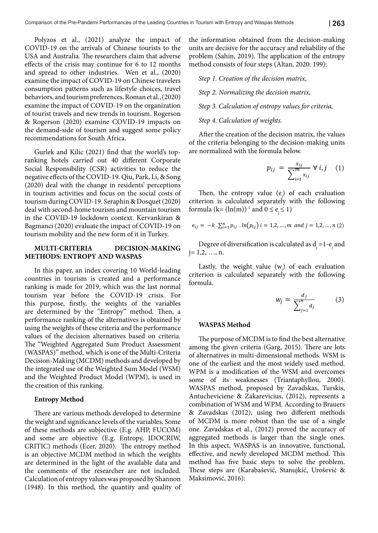Polyzos et al., (2021) analyze the impact of COVID-19 on the arrivals of Chinese tourists to the USA and Australia. The researchers claim that adverse effects of the crisis may continue for 6 to 12 months and spread to other industries. Wen et al., (2020) examine the impact of COVID-19 on Chinese travelers consumption patterns such as lifestyle choices, travel behaviors, and tourism preferences. Roman et al., (2020) examine the impact of COVID-19 on the organization of tourist travels and new trends in tourism. Rogerson & Rogerson (2020) examine COVID-19 impacts on the demand-side of tourism and suggest some policy recommendations for South Africa.

Gurlek and Kilic (2021) find that the world's topranking hotels carried out 40 different Corporate Social Responsibility (CSR) activities to reduce the negative effects of the COVID-19. Qiu, Park, Li, & Song (2020) deal with the change in residents' perceptions in tourism activities and focus on the social costs of tourism during COVID-19. Seraphin & Dosquet (2020) cri deal with second-home tourism and mountain tourism in the COVID-19 lockdown context. Kervankiran & Bagmanci (2020) evaluate the impact of COVID-19 on<br>touriom mobility and the new form of it in Turkey. tourism mobility and the new form of it in Turkey.

#### **MULTI-CRITERIA DECISION-MAKING METHODS: ENTROPY AND WASPAS**   $\overline{A}$

In this paper, an index covering 10 World-leading countries in tourism is created and a performance ranking is made for 2019, which was the last normal tourism year before the COVID-19 crisis. For this purpose, firstly, the weights of the variables are determined by the "Entropy" method. Then, a performance ranking of the alternatives is obtained by using the weights of these criteria and the performance values of the decision alternatives based on criteria. The "Weighted Aggregated Sum Product Assessment (WASPAS)" method, which is one of the Multi-Criteria Decision-Making (MCDM) methods and developed by the integrated use of the Weighted Sum Model (WSM) and the Weighted Product Model (WPM), is used in the creation of this ranking.

#### **Entropy Method**

There are various methods developed to determine the weight and significance levels of the variables. Some of these methods are subjective (E.g. AHP, FUCOM) and some are objective (E.g. Entropy, IDOCRIW, CRITIC) methods (Ecer, 2020). The entropy method is an objective MCDM method in which the weights are determined in the light of the available data and the comments of the researcher are not included. Calculation of entropy values was proposed by Shannon (1948). In this method, the quantity and quality of the information obtained from the decision-making units are decisive for the accuracy and reliability of the problem (Sahin, 2019). The application of the entropy method consists of four steps (Altan, 2020: 199):

*Step 1. Creation of the decision matrix,*

*Step 2. Normalizing the decision matrix,*

*Step 3. Calculation of entropy values for criteria,*

*Step 4. Calculation of weights.*

After the creation of the decision matrix, the values of the criteria belonging to the decision-making units are normalized with the formula below.

$$
p_{ij} = \frac{x_{ij}}{\sum_{i=1}^{m} x_{ij}} \ \forall \ i, j \quad (1)
$$

Then, the entropy value  $(e_j)$  of each evaluation  $\frac{1}{2}$  criterion is calculated separately with the following formula (k=  $(ln(m))^{-1}$  and  $0 \le e_j \le 1$ )

$$
0.19 \text{ on } \qquad e_{ij} = -k \cdot \sum_{i=1}^{n} p_{ij} \cdot ln(p_{ij}) \ i = 1, 2, ..., m \ \text{ and } j = 1, 2, ..., n \ (2)
$$

Degree of diversification is calculated as  $d_j = 1-e_j$  and j= 1,2, …, n.

Lastly, the weight value  $(w_j)$  of each ex-∑ ∑ criterion is calculated separately with the following formula.  $\text{Lastly, the weight value } (w_j) \text{ of each evaluation}$ 

$$
w_j = \frac{d_j}{\sum_{j=1}^n d_j} \tag{3}
$$

#### **WASPAS Method**

among the given criteria (Garg, 2015). There are lots The purpose of MCDM is to find the best alternative of alternatives in multi-dimensional methods. WSM is one of the earliest and the most widely used method. WPM is a modification of the WSM and overcomes some of its weaknesses (Triantaphyllou, 2000). WASPAS method, proposed by Zavadskas, Turskis, Antucheviciene & Zakarevicius, (2012), represents a combination of WSM and WPM. According to Brauers & Zavadskas (2012), using two different methods of MCDM is more robust than the use of a single one. Zavadskas et al., (2012) proved the accuracy of aggregated methods is larger than the single ones. In this aspect, WASPAS is an innovative, functional, effective, and newly developed MCDM method. This method has five basic steps to solve the problem. These steps are (Karabašević, Stanujkić, Urošević & Maksimović, 2016):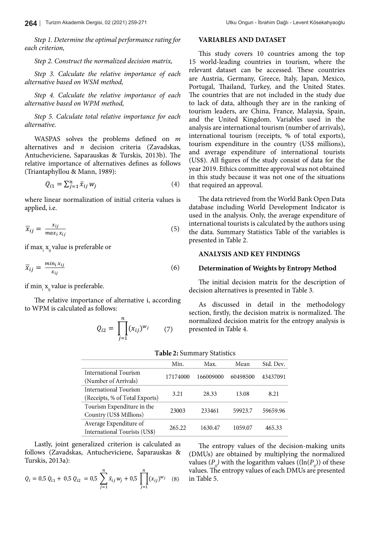Step 1. Determine the optimal performance rating for *each criterion,* ∑ =1

*Step 2. Construct the normalized decision matrix,*

*Step 3. Calculate the relative importance of each alternative based on WSM method,* 

*Step 4. Calculate the relative importance of each*  alternative based on WPM method,

> *Step 5. Calculate total relative importance for each alternative.*

WASPAS solves the problems defined on  $m$ alternatives and *n* decision criteria (Zavadskas, ∑ Antucheviciene, Saparauskas & Turskis, 2013b). The =1 relative importance of alternatives defines as follows (Triantaphyllou & Mann, 1989):

$$
Q_{i1} = \sum_{j=1}^{n} \bar{x}_{ij} w_j \tag{4}
$$

where linear normalization of initial criteria values is applied, i.e.

$$
\overline{x}_{ij} = \frac{x_{ij}}{\max_i x_{ij}}\tag{5}
$$

if  $\max_{\mathrm{i}} \mathrm{x}_{\mathrm{ij}}$  value is preferable or

$$
\overline{x}_{ij} = \frac{\min_i x_{ij}}{x_{ij}} \tag{6}
$$

if min<sub>i</sub> x<sub>ij</sub> value is preferable.

to WPM is calculated as follows: The relative importance of alternative i, according

$$
Q_{i2} = \prod_{j=1}^{n} (x_{ij})^{w_j} \qquad (7)
$$

## **VARIABLES AND DATASET**

This study covers 10 countries among the top 15 world-leading countries in tourism, where the relevant dataset can be accessed. These countries are Austria, Germany, Greece, Italy, Japan, Mexico, Portugal, Thailand, Turkey, and the United States. The countries that are not included in the study due to lack of data, although they are in the ranking of tourism leaders, are China, France, Malaysia, Spain, and the United Kingdom. Variables used in the analysis are international tourism (number of arrivals), international tourism (receipts, % of total exports), tourism expenditure in the country (US\$ millions), and average expenditure of international tourists (US\$). All figures of the study consist of data for the year 2019. Ethics committee approval was not obtained<br>in this study because it was not one of the situations in this study because it was not one of the situations that required an approval.

is The data retrieved from the World Bank Open Data database including World Development Indicator is used in the analysis. Only, the average expenditure of international tourists is calculated by the authors using the data. Summary Statistics Table of the variables is presented in Table 2.

#### **ANALYSIS AND KEY FINDINGS**   $2 \times 1$

#### **Determination of Weights by Entropy Method**

The initial decision matrix for the description of decision alternatives is presented in Table 3.

As discussed in detail in the methodology section, firstly, the decision matrix is normalized. The normalized decision matrix for the entropy analysis is presented in Table 4.

|                                                         | Min.     | Max.      | Mean     | Std. Dev. |
|---------------------------------------------------------|----------|-----------|----------|-----------|
| International Tourism<br>(Number of Arrivals)           | 17174000 | 166009000 | 60498500 | 43437091  |
| International Tourism<br>(Receipts, % of Total Exports) | 3.21     | 28.33     | 13.08    | 8.21      |
| Tourism Expenditure in the<br>Country (US\$ Millions)   | 23003    | 233461    | 59923.7  | 59659.96  |
| Average Expenditure of<br>International Tourists (US\$) | 265.22   | 1630.47   | 1059.07  | 465.33    |

Table 2: Summary Statistics

Lastly, joint generalized criterion is calculated as follows (Zavadskas, Antucheviciene, Šaparauskas & Turskis, 2013a):

$$
Q_i = 0.5 Q_{i1} + 0.5 Q_{i2} = 0.5 \sum_{j=1}^{n} \bar{x}_{ij} w_j + 0.5 \prod_{j=1}^{n} (x_{ij})^{w_j} \quad (8)
$$

The entropy values of the decision-making units (DMUs) are obtained by multiplying the normalized values  $(P_{ij})$  with the logarithm values  $((\ln(P_{ij}))$  of these values. The entropy values of each DMUs are presented in Table 5.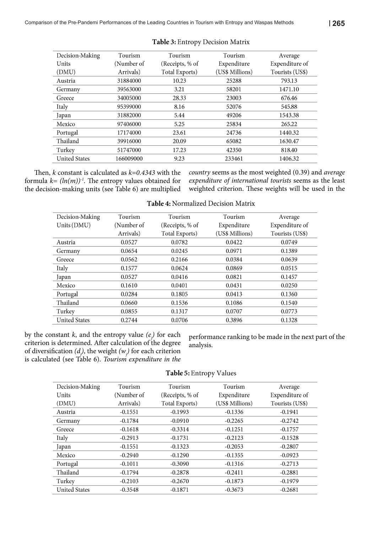| Decision-Making      | Tourism    | Tourism         | Tourism         | Average         |
|----------------------|------------|-----------------|-----------------|-----------------|
| Units                | (Number of | (Receipts, % of | Expenditure     | Expenditure of  |
| (DMU)                | Arrivals)  | Total Exports)  | (US\$ Millions) | Tourists (US\$) |
| Austria              | 31884000   | 10.23           | 25288           | 793.13          |
| Germany              | 39563000   | 3.21            | 58201           | 1471.10         |
| Greece               | 34005000   | 28.33           | 23003           | 676.46          |
| Italy                | 95399000   | 8.16            | 52076           | 545.88          |
| Japan                | 31882000   | 5.44            | 49206           | 1543.38         |
| Mexico               | 97406000   | 5.25            | 25834           | 265.22          |
| Portugal             | 17174000   | 23.61           | 24736           | 1440.32         |
| Thailand             | 39916000   | 20.09           | 65082           | 1630.47         |
| Turkey               | 51747000   | 17.23           | 42350           | 818.40          |
| <b>United States</b> | 166009000  | 9.23            | 233461          | 1406.32         |
|                      |            |                 |                 |                 |

#### Table 3: Entropy Decision Matrix

Then, *k* constant is calculated as *k=0.4343* with the formula  $k = (ln(m))$ <sup>1</sup>. The entropy values obtained for the decision-making units (see Table 6) are multiplied *country* seems as the most weighted (0.39) and *average expenditure of international tourists* seems as the least weighted criterion. These weights will be used in the

| Decision-Making      | Tourism    | Tourism         | Tourism         | Average         |
|----------------------|------------|-----------------|-----------------|-----------------|
| Units (DMU)          | (Number of | (Receipts, % of | Expenditure     | Expenditure of  |
|                      | Arrivals)  | Total Exports)  | (US\$ Millions) | Tourists (US\$) |
| Austria              | 0.0527     | 0.0782          | 0.0422          | 0.0749          |
| Germany              | 0.0654     | 0.0245          | 0.0971          | 0.1389          |
| Greece               | 0.0562     | 0.2166          | 0.0384          | 0.0639          |
| Italy                | 0.1577     | 0.0624          | 0.0869          | 0.0515          |
| Japan                | 0.0527     | 0.0416          | 0.0821          | 0.1457          |
| Mexico               | 0.1610     | 0.0401          | 0.0431          | 0.0250          |
| Portugal             | 0.0284     | 0.1805          | 0.0413          | 0.1360          |
| Thailand             | 0.0660     | 0.1536          | 0.1086          | 0.1540          |
| Turkey               | 0.0855     | 0.1317          | 0.0707          | 0.0773          |
| <b>United States</b> | 0.2744     | 0.0706          | 0.3896          | 0.1328          |

#### Table 4: Normalized Decision Matrix

by the constant  $k$ , and the entropy value  $(e_j)$  for each criterion is determined. After calculation of the degree of diversification  $(d_j)$ , the weight  $(w_j)$  for each criterion is calculated (see Table 6). *Tourism expenditure in the* 

performance ranking to be made in the next part of the analysis.

| Decision-Making      | Tourism    | Tourism         | Tourism         | Average         |
|----------------------|------------|-----------------|-----------------|-----------------|
| Units                | (Number of | (Receipts, % of | Expenditure     | Expenditure of  |
| (DMU)                | Arrivals)  | Total Exports)  | (US\$ Millions) | Tourists (US\$) |
| Austria              | $-0.1551$  | $-0.1993$       | $-0.1336$       | $-0.1941$       |
| Germany              | $-0.1784$  | $-0.0910$       | $-0.2265$       | $-0.2742$       |
| Greece               | $-0.1618$  | $-0.3314$       | $-0.1251$       | $-0.1757$       |
| Italy                | $-0.2913$  | $-0.1731$       | $-0.2123$       | $-0.1528$       |
| Japan                | $-0.1551$  | $-0.1323$       | $-0.2053$       | $-0.2807$       |
| Mexico               | $-0.2940$  | $-0.1290$       | $-0.1355$       | $-0.0923$       |
| Portugal             | $-0.1011$  | $-0.3090$       | $-0.1316$       | $-0.2713$       |
| Thailand             | $-0.1794$  | $-0.2878$       | $-0.2411$       | $-0.2881$       |
| Turkey               | $-0.2103$  | $-0.2670$       | $-0.1873$       | $-0.1979$       |
| <b>United States</b> | $-0.3548$  | $-0.1871$       | $-0.3673$       | $-0.2681$       |

## Table 5: Entropy Values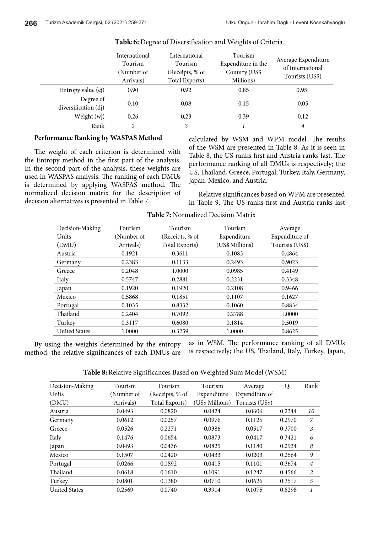|                                   | International<br>Tourism<br>Number of)<br>Arrivals) | International<br>Tourism<br>(Receipts, % of<br>Total Exports) | Tourism<br>Expenditure in the<br>Country (US\$<br>Millions) | Average Expenditure<br>of International<br>Tourists (US\$) |
|-----------------------------------|-----------------------------------------------------|---------------------------------------------------------------|-------------------------------------------------------------|------------------------------------------------------------|
| Entropy value (ej)                | 0.90                                                | 0.92                                                          | 0.85                                                        | 0.95                                                       |
| Degree of<br>diversification (dj) | 0.10                                                | 0.08                                                          | 0.15                                                        | 0.05                                                       |
| Weight (wj)                       | 0.26                                                | 0.23                                                          | 0.39                                                        | 0.12                                                       |
| Rank                              | 2                                                   | 3                                                             |                                                             | 4                                                          |

Table 6: Degree of Diversification and Weights of Criteria

#### **Performance Ranking by WASPAS Method**

The weight of each criterion is determined with the Entropy method in the first part of the analysis. In the second part of the analysis, these weights are used in WASPAS analysis. The ranking of each DMUs is determined by applying WASPAS method. The normalized decision matrix for the description of decision alternatives is presented in Table 7.

calculated by WSM and WPM model. The results of the WSM are presented in Table 8. As it is seen in Table 8, the US ranks first and Austria ranks last. The performance ranking of all DMUs is respectively; the US, Thailand, Greece, Portugal, Turkey, Italy, Germany, Japan, Mexico, and Austria.

Relative significances based on WPM are presented in Table 9. The US ranks first and Austria ranks last

| Decision-Making      | Tourism    | Tourism         | Tourism         | Average         |
|----------------------|------------|-----------------|-----------------|-----------------|
| Units                | (Number of | (Receipts, % of | Expenditure     | Expenditure of  |
| (DMU)                | Arrivals)  | Total Exports)  | (US\$ Millions) | Tourists (US\$) |
| Austria              | 0.1921     | 0.3611          | 0.1083          | 0.4864          |
| Germany              | 0.2383     | 0.1133          | 0.2493          | 0.9023          |
| Greece               | 0.2048     | 1.0000          | 0.0985          | 0.4149          |
| Italy                | 0.5747     | 0.2881          | 0.2231          | 0.3348          |
| Japan                | 0.1920     | 0.1920          | 0.2108          | 0.9466          |
| Mexico               | 0.5868     | 0.1851          | 0.1107          | 0.1627          |
| Portugal             | 0.1035     | 0.8332          | 0.1060          | 0.8834          |
| Thailand             | 0.2404     | 0.7092          | 0.2788          | 1.0000          |
| Turkey               | 0.3117     | 0.6080          | 0.1814          | 0.5019          |
| <b>United States</b> | 1.0000     | 0.3259          | 1.0000          | 0.8625          |

| Table 7: Normalized Decision Matrix |  |  |
|-------------------------------------|--|--|
|-------------------------------------|--|--|

By using the weights determined by the entropy method, the relative significances of each DMUs are as in WSM. The performance ranking of all DMUs is respectively; the US, Thailand, Italy, Turkey, Japan,

| Decision-Making      | Tourism    | Tourism         | Tourism         | Average         | $Q_{i1}$ | Rank           |
|----------------------|------------|-----------------|-----------------|-----------------|----------|----------------|
| Units                | (Number of | (Receipts, % of | Expenditure     | Expenditure of  |          |                |
| (DMU)                | Arrivals)  | Total Exports)  | (US\$ Millions) | Tourists (US\$) |          |                |
| Austria              | 0.0493     | 0.0820          | 0.0424          | 0.0606          | 0.2344   | 10             |
| Germany              | 0.0612     | 0.0257          | 0.0976          | 0.1125          | 0.2970   | 7              |
| Greece               | 0.0526     | 0.2271          | 0.0386          | 0.0517          | 0.3700   | 3              |
| Italy                | 0.1476     | 0.0654          | 0.0873          | 0.0417          | 0.3421   | 6              |
| Japan                | 0.0493     | 0.0436          | 0.0825          | 0.1180          | 0.2934   | 8              |
| Mexico               | 0.1507     | 0.0420          | 0.0433          | 0.0203          | 0.2564   | 9              |
| Portugal             | 0.0266     | 0.1892          | 0.0415          | 0.1101          | 0.3674   | $\overline{4}$ |
| Thailand             | 0.0618     | 0.1610          | 0.1091          | 0.1247          | 0.4566   | $\overline{2}$ |
| Turkey               | 0.0801     | 0.1380          | 0.0710          | 0.0626          | 0.3517   | 5              |
| <b>United States</b> | 0.2569     | 0.0740          | 0.3914          | 0.1075          | 0.8298   | 1              |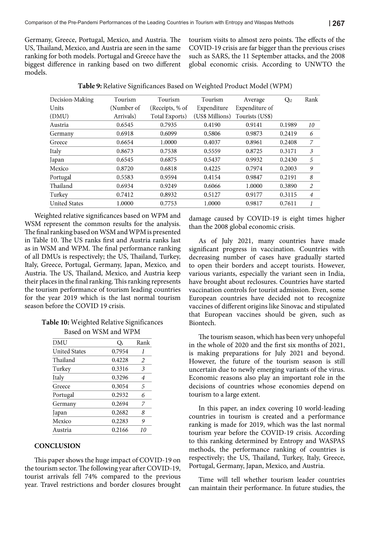Germany, Greece, Portugal, Mexico, and Austria. The US, Thailand, Mexico, and Austria are seen in the same ranking for both models. Portugal and Greece have the biggest difference in ranking based on two different models.

tourism visits to almost zero points. The effects of the COVID-19 crisis are far bigger than the previous crises such as SARS, the 11 September attacks, and the 2008 global economic crisis. According to UNWTO the

| Decision-Making | Tourism    | Tourism         | Tourism         | Average         | $Q_{i2}$ | Rank           |
|-----------------|------------|-----------------|-----------------|-----------------|----------|----------------|
| Units           | Number of) | (Receipts, % of | Expenditure     | Expenditure of  |          |                |
| (DMU)           | Arrivals)  | Total Exports)  | (US\$ Millions) | Tourists (US\$) |          |                |
| Austria         | 0.6545     | 0.7935          | 0.4190          | 0.9141          | 0.1989   | 10             |
| Germany         | 0.6918     | 0.6099          | 0.5806          | 0.9873          | 0.2419   | 6              |
| Greece          | 0.6654     | 1.0000          | 0.4037          | 0.8961          | 0.2408   | 7              |
| Italy           | 0.8673     | 0.7538          | 0.5559          | 0.8725          | 0.3171   | 3              |
| Japan           | 0.6545     | 0.6875          | 0.5437          | 0.9932          | 0.2430   | 5              |
| Mexico          | 0.8720     | 0.6818          | 0.4225          | 0.7974          | 0.2003   | 9              |
| Portugal        | 0.5583     | 0.9594          | 0.4154          | 0.9847          | 0.2191   | 8              |
| Thailand        | 0.6934     | 0.9249          | 0.6066          | 1.0000          | 0.3890   | $\overline{2}$ |
| Turkey          | 0.7412     | 0.8932          | 0.5127          | 0.9177          | 0.3115   | $\overline{4}$ |
| United States   | 1.0000     | 0.7753          | 1.0000          | 0.9817          | 0.7611   | 1              |
|                 |            |                 |                 |                 |          |                |

Table 9: Relative Significances Based on Weighted Product Model (WPM)

Weighted relative significances based on WPM and WSM represent the common results for the analysis. The final ranking based on WSM and WPM is presented in Table 10. The US ranks first and Austria ranks last as in WSM and WPM. The final performance ranking of all DMUs is respectively; the US, Thailand, Turkey, Italy, Greece, Portugal, Germany, Japan, Mexico, and Austria. The US, Thailand, Mexico, and Austria keep their places in the final ranking. This ranking represents the tourism performance of tourism leading countries for the year 2019 which is the last normal tourism season before the COVID 19 crisis.

Table 10: Weighted Relative Significances Based on WSM and WPM

| Qi     | Rank           |
|--------|----------------|
| 0.7954 | 1              |
| 0.4228 | 2              |
| 0.3316 | 3              |
| 0.3296 | $\overline{4}$ |
| 0.3054 | 5              |
| 0.2932 | 6              |
| 0.2694 | 7              |
| 0.2682 | 8              |
| 0.2283 | 9              |
| 0.2166 | 10             |
|        |                |

#### **CONCLUSION**

This paper shows the huge impact of COVID-19 on the tourism sector. The following year after COVID-19, tourist arrivals fell 74% compared to the previous year. Travel restrictions and border closures brought damage caused by COVID-19 is eight times higher than the 2008 global economic crisis.

As of July 2021, many countries have made significant progress in vaccination. Countries with decreasing number of cases have gradually started to open their borders and accept tourists. However, various variants, especially the variant seen in India, have brought about reclosures. Countries have started vaccination controls for tourist admission. Even, some European countries have decided not to recognize vaccines of different origins like Sinovac and stipulated that European vaccines should be given, such as Biontech.

The tourism season, which has been very unhopeful in the whole of 2020 and the first six months of 2021, is making preparations for July 2021 and beyond. However, the future of the tourism season is still uncertain due to newly emerging variants of the virus. Economic reasons also play an important role in the decisions of countries whose economies depend on tourism to a large extent.

In this paper, an index covering 10 world-leading countries in tourism is created and a performance ranking is made for 2019, which was the last normal tourism year before the COVID-19 crisis. According to this ranking determined by Entropy and WASPAS methods, the performance ranking of countries is respectively; the US, Thailand, Turkey, Italy, Greece, Portugal, Germany, Japan, Mexico, and Austria.

Time will tell whether tourism leader countries can maintain their performance. In future studies, the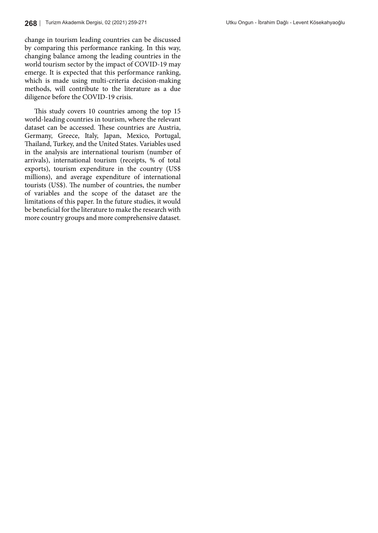change in tourism leading countries can be discussed by comparing this performance ranking. In this way, changing balance among the leading countries in the world tourism sector by the impact of COVID-19 may emerge. It is expected that this performance ranking, which is made using multi-criteria decision-making methods, will contribute to the literature as a due diligence before the COVID-19 crisis.

This study covers 10 countries among the top 15 world-leading countries in tourism, where the relevant dataset can be accessed. These countries are Austria, Germany, Greece, Italy, Japan, Mexico, Portugal, Thailand, Turkey, and the United States. Variables used in the analysis are international tourism (number of arrivals), international tourism (receipts, % of total exports), tourism expenditure in the country (US\$ millions), and average expenditure of international tourists (US\$). The number of countries, the number of variables and the scope of the dataset are the limitations of this paper. In the future studies, it would be beneficial for the literature to make the research with more country groups and more comprehensive dataset.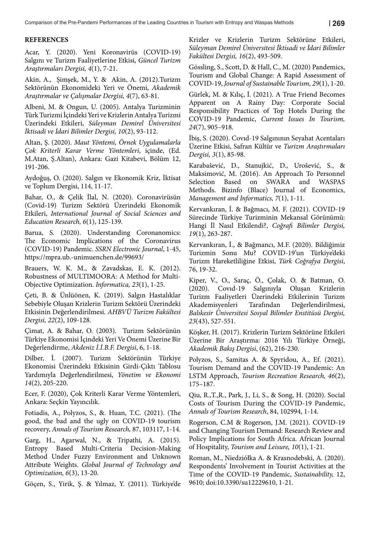## **REFERENCES**

Acar, Y. (2020). Yeni Koronavirüs (COVID-19) Salgını ve Turizm Faaliyetlerine Etkisi, *Güncel Turizm Araştırmaları Dergisi, 4*(1), 7-21.

Akin, A., Şimşek, M., Y. & Akin, A. (2012).Turizm Sektörünün Ekonomideki Yeri ve Önemi, *Akademik Araştırmalar ve Çalışmalar Dergisi, 4*(7), 63-81.

Albeni, M. & Ongun, U. (2005). Antalya Turizminin Türk Turizmi İçindeki Yeri ve Krizlerin Antalya Turizmi Üzerindeki Etkileri, *Süleyman Demirel Üniversitesi İktisadi ve İdari Bilimler Dergisi, 10*(2), 93-112.

Altan, Ş. (2020). *Maut Yöntemi, Örnek Uygulamalarla Çok Kriterli Karar Verme Yöntemleri*, içinde, (Ed. M.Atan, Ş.Altan), Ankara: Gazi Kitabevi, Bölüm 12, 191-206.

Aydoğuş, O. (2020). Salgın ve Ekonomik Kriz, İktisat ve Toplum Dergisi, 114, 11-17.

Bahar, O., & Çelik İlal, N. (2020). Coronavirüsün (Covid-19) Turizm Sektörü Üzerindeki Ekonomik Etkileri, *International Journal of Social Sciences and Education Research, 6*(1), 125-139.

Barua, S. (2020). Understanding Coronanomics: The Economic Implications of the Coronavirus (COVID-19) Pandemic. *SSRN Electronic Journal*, 1-45, https://mpra.ub.-unimuenchen.de/99693/

Brauers, W. K. M., & Zavadskas, E. K. (2012). Robustness of MULTIMOORA: A Method for Multi-Objective Optimization. *Informatica, 23*(1), 1-25.

Çeti, B. & Ünlüönen, K. (2019). Salgın Hastalıklar Sebebiyle Oluşan Krizlerin Turizm Sektörü Üzerindeki Etkisinin Değerlendirilmesi. *AHBVÜ Turizm Fakültesi Dergisi, 22*(2), 109-128.

Çimat, A. & Bahar, O. (2003). Turizm Sektörünün Türkiye Ekonomisi İçindeki Yeri Ve Önemi Üzerine Bir Değerlendirme, *Akdeniz İ.İ.B.F. Dergisi*, 6, 1-18.

Dilber, İ. (2007). Turizm Sektörünün Türkiye Ekonomisi Üzerindeki Etkisinin Girdi-Çıktı Tablosu Yardımıyla Değerlendirilmesi, *Yönetim ve Ekonomi 14*(2), 205-220.

Ecer, F. (2020), Çok Kriterli Karar Verme Yöntemleri, Ankara: Seçkin Yayıncılık.

Fotiadis, A., Polyzos, S., &. Huan, T.C. (2021). (The good, the bad and the ugly on COVID-19 tourism recovery, *Annals of Tourism Research,* 87, 103117, 1-14.

Garg, H., Agarwal, N., & Tripathi, A. (2015). Entropy Based Multi-Criteria Decision-Making Method Under Fuzzy Environment and Unknown Attribute Weights. *Global Journal of Technology and Optimization, 6*(3), 13-20.

Göçen, S., Yirik, Ş. & Yılmaz, Y. (2011). Türkiye'de

Krizler ve Krizlerin Turizm Sektörüne Etkileri, *Süleyman Demirel Üniversitesi İktisadi ve İdari Bilimler Fakültesi Dergisi, 16*(2), 493-509.

Gössling, S., Scott, D. & Hall, C., M. (2020) Pandemics, Tourism and Global Change: A Rapid Assessment of COVID-19, *Journal of Sustainable Tourism, 29*(1), 1-20.

Gürlek, M. & Kılıç, İ. (2021). A True Friend Becomes Apparent on A Rainy Day: Corporate Social Responsibility Practices of Top Hotels During the COVID-19 Pandemic, *Current Issues In Tourism, 24*(7), 905–918.

İbiş, S. (2020). Covıd-19 Salgınının Seyahat Acentaları Üzerine Etkisi, Safran Kültür ve *Turizm Araştırmaları Dergisi, 3*(1), 85-98.

Karabašević, D., Stanujkić, D., Urošević, S., & Maksimović, M. (2016). An Approach To Personnel Selection Based on SWARA and WASPAS Methods. Bizinfo (Blace) Journal of Economics, *Management and Informatics, 7*(1), 1-11.

Kervankıran, İ. & Bağmacı, M. F. (2021). COVID-19 Sürecinde Türkiye Turizminin Mekansal Görünümü: Hangi İl Nasıl Etkilendi?, *Coğrafi Bilimler Dergisi, 19*(1), 263-287.

Kervankıran, İ., & Bağmancı, M.F. (2020). Bildiğimiz Turizmin Sonu Mu? COVID-19'un Türkiye'deki Turizm Hareketliliğine Etkisi, *Türk Coğrafya Dergisi*, 76, 19-32.

Kiper, V., O., Saraç, Ö., Çolak, O. & Batman, O. (2020). Covıd-19 Salgınıyla Oluşan Krizlerin Turizm Faaliyetleri Üzerindeki Etkilerinin Turizm Akademisyenleri Tarafından Değerlendirilmesi, *Balıkesir Üniversitesi Sosyal Bilimler Enstitüsü Dergisi, 23*(43), 527-551.

Köşker, H. (2017). Krizlerin Turizm Sektörüne Etkileri Üzerine Bir Araştırma: 2016 Yılı Türkiye Örneği, *Akademik Bakış Dergisi*, (62), 216-230.

Polyzos, S., Samitas A. & Spyridou, A., Ef. (2021). Tourism Demand and the COVID-19 Pandemic: An LSTM Approach, *Tourism Recreation Research, 46*(2), 175–187.

Qiu, R.,T.,R., Park, J., Li, S., & Song, H. (2020). Social Costs of Tourism During the COVID-19 Pandemic, *Annals of Tourism Research*, 84, 102994, 1-14.

Rogerson, C.M & Rogerson, J.M. (2021). COVID-19 and Changing Tourism Demand: Research Review and Policy Implications for South Africa. African Journal of Hospitality, *Tourism and Leisure, 10*(1), 1-21.

Roman, M., Niedziółka A. & Krasnodebski, A. (2020). Respondents' Involvement in Tourist Activities at the Time of the COVID-19 Pandemic, *Sustainability,* 12, 9610; doi:10.3390/su12229610, 1-21.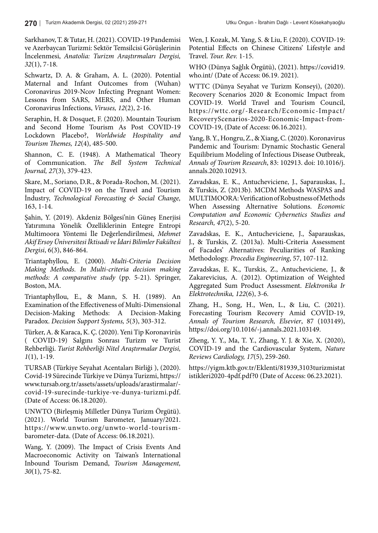Sarkhanov, T. & Tutar, H. (2021). COVID-19 Pandemisi ve Azerbaycan Turizmi: Sektör Temsilcisi Görüşlerinin İncelenmesi, *Anatolia: Turizm Araştırmaları Dergisi, 32*(1), 7-18.

Schwartz, D. A. & Graham, A. L. (2020). Potential Maternal and Infant Outcomes from (Wuhan) Coronavirus 2019-Ncov Infecting Pregnant Women: Lessons from SARS, MERS, and Other Human Coronavirus Infections, *Viruses, 12*(2), 2-16.

Seraphin, H. & Dosquet, F. (2020). Mountain Tourism and Second Home Tourism As Post COVID-19 Lockdown Placebo?, *Worldwide Hospitality and Tourism Themes, 12*(4), 485-500.

Shannon, C. E. (1948). A Mathematical Theory of Communication. *The Bell System Technical Journal, 27*(3), 379-423.

Skare, M., Soriano, D.R., & Porada-Rochon, M. (2021). Impact of COVID-19 on the Travel and Tourism İndustry, *Technological Forecasting & Social Change,*  163, 1-14.

Şahin, Y. (2019). Akdeniz Bölgesi'nin Güneş Enerjisi Yatırımına Yönelik Özelliklerinin Entegre Entropi Multimoora Yöntemi İle Değerlendirilmesi, *Mehmet Akif Ersoy Üniversitesi İktisadi ve İdari Bilimler Fakültesi Dergisi*, 6(3), 846-864.

Triantaphyllou, E. (2000). *Multi-Criteria Decision Making Methods. In Multi-criteria decision making methods: A comparative study* (pp. 5-21). Springer, Boston, MA.

Triantaphyllou, E., & Mann, S. H. (1989). An Examination of the Effectiveness of Multi-Dimensional Decision-Making Methods: A Decision-Making Paradox. *Decision Support Systems, 5*(3), 303-312.

Türker, A. & Karaca, K. Ç. (2020). Yeni Tip Koronavirüs ( COVID-19) Salgını Sonrası Turizm ve Turist Rehberliği. *Turist Rehberliği Nitel Araştırmalar Dergisi, 1*(1), 1-19.

TURSAB (Türkiye Seyahat Acentaları Birliği ), (2020). Covid-19 Sürecinde Türkiye ve Dünya Turizmi, https:// www.tursab.org.tr/assets/assets/uploads/arastirmalar/ covid-19-surecinde-turkiye-ve-dunya-turizmi.pdf. (Date of Access: 06.18.2020).

UNWTO (Birleşmiş Milletler Dünya Turizm Örgütü). (2021). World Tourism Barometer, January/2021. https://www.unwto.org/unwto-world-tourismbarometer-data. (Date of Access: 06.18.2021).

Wang, Y. (2009). The Impact of Crisis Events And Macroeconomic Activity on Taiwan's International Inbound Tourism Demand, *Tourism Management, 30*(1), 75-82.

Wen, J. Kozak, M. Yang, S. & Liu, F. (2020). COVID-19: Potential Effects on Chinese Citizens' Lifestyle and Travel. *Tour. Rev.* 1-15.

WHO (Dünya Sağlık Örgütü), (2021). https://covid19. who.int/ (Date of Access: 06.19. 2021).

WTTC (Dünya Seyahat ve Turizm Konseyi), (2020). Recovery Scenarios 2020 & Economic Impact from COVID-19. World Travel and Tourism Council, https://wttc.org/-Research/Economic-Impact/ RecoveryScenarios-2020-Economic-Impact-from-COVID-19, (Date of Access: 06.16.2021).

Yang, B. Y., Hongru, Z., & Xiang, C. (2020). Koronavirus Pandemic and Tourism: Dynamic Stochastic General Equilibrium Modeling of Infectious Disease Outbreak, *Annals of Tourism Research*, 83: 102913. doi: 10.1016/j. annals.2020.102913.

Zavadskas, E. K., Antucheviciene, J., Saparauskas, J., & Turskis, Z. (2013b). MCDM Methods WASPAS and MULTIMOORA: Verification of Robustness of Methods When Assessing Alternative Solutions. *Economic Computation and Economic Cybernetics Studies and Research, 47*(2), 5-20.

Zavadskas, E. K., Antucheviciene, J., Šaparauskas, J., & Turskis, Z. (2013a). Multi-Criteria Assessment of Facades' Alternatives: Peculiarities of Ranking Methodology. *Procedia Engineering*, 57, 107-112.

Zavadskas, E. K., Turskis, Z., Antucheviciene, J., & Zakarevicius, A. (2012). Optimization of Weighted Aggregated Sum Product Assessment. *Elektronika Ir Elektrotechnika, 122*(6), 3-6.

Zhang, H., Song, H., Wen, L., & Liu, C. (2021). Forecasting Tourism Recovery Amid COVİD-19, *Annals of Tourism Research, Elsevier*, 87 (103149), https://doi.org/10.1016/-j.annals.2021.103149.

Zheng, Y. Y., Ma, T. Y., Zhang, Y. J. & Xie, X. (2020), COVID-19 and the Cardiovascular System, *Nature Reviews Cardiology, 17*(5), 259-260.

https://yigm.ktb.gov.tr/Eklenti/81939,3103turizmistat istikleri2020-4pdf.pdf?0 (Date of Access: 06.23.2021).